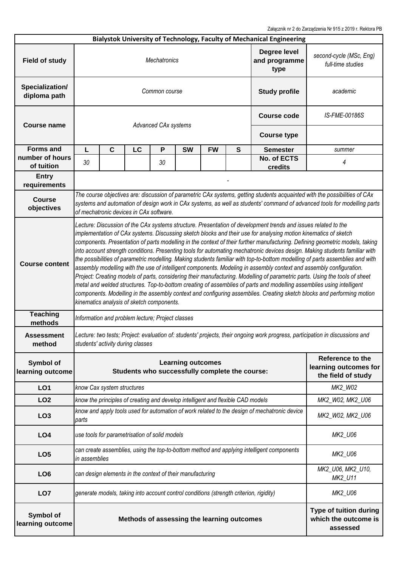Załącznik nr 2 do Zarządzenia Nr 915 z 2019 r. Rektora PB

|                                 |                                                                                                                                                                                                                                                                                                                                                                                                                                                                                                                                                                                                                                                                                                                                                                                                                                                                                                                                                                                                                                                                                                                                                                                         |                            |                                               |                      |                                                                                 |               |                              | Bialystok University of Technology, Faculty of Mechanical Engineering                        |                                                                                                                               |  |  |
|---------------------------------|-----------------------------------------------------------------------------------------------------------------------------------------------------------------------------------------------------------------------------------------------------------------------------------------------------------------------------------------------------------------------------------------------------------------------------------------------------------------------------------------------------------------------------------------------------------------------------------------------------------------------------------------------------------------------------------------------------------------------------------------------------------------------------------------------------------------------------------------------------------------------------------------------------------------------------------------------------------------------------------------------------------------------------------------------------------------------------------------------------------------------------------------------------------------------------------------|----------------------------|-----------------------------------------------|----------------------|---------------------------------------------------------------------------------|---------------|------------------------------|----------------------------------------------------------------------------------------------|-------------------------------------------------------------------------------------------------------------------------------|--|--|
| <b>Field of study</b>           | Degree level<br><b>Mechatronics</b><br>and programme<br>type                                                                                                                                                                                                                                                                                                                                                                                                                                                                                                                                                                                                                                                                                                                                                                                                                                                                                                                                                                                                                                                                                                                            |                            |                                               |                      |                                                                                 |               |                              | second-cycle (MSc, Eng)<br>full-time studies                                                 |                                                                                                                               |  |  |
| Specialization/<br>diploma path | Common course<br><b>Study profile</b>                                                                                                                                                                                                                                                                                                                                                                                                                                                                                                                                                                                                                                                                                                                                                                                                                                                                                                                                                                                                                                                                                                                                                   |                            |                                               |                      |                                                                                 |               |                              | academic                                                                                     |                                                                                                                               |  |  |
| <b>Course name</b>              |                                                                                                                                                                                                                                                                                                                                                                                                                                                                                                                                                                                                                                                                                                                                                                                                                                                                                                                                                                                                                                                                                                                                                                                         |                            |                                               | Advanced CAx systems | <b>Course code</b>                                                              | IS-FME-00186S |                              |                                                                                              |                                                                                                                               |  |  |
|                                 |                                                                                                                                                                                                                                                                                                                                                                                                                                                                                                                                                                                                                                                                                                                                                                                                                                                                                                                                                                                                                                                                                                                                                                                         |                            |                                               |                      |                                                                                 |               |                              | <b>Course type</b>                                                                           |                                                                                                                               |  |  |
| <b>Forms and</b>                | L                                                                                                                                                                                                                                                                                                                                                                                                                                                                                                                                                                                                                                                                                                                                                                                                                                                                                                                                                                                                                                                                                                                                                                                       | $\mathbf c$                | LC                                            | P                    | <b>SW</b>                                                                       | <b>FW</b>     | S                            | <b>Semester</b>                                                                              | summer                                                                                                                        |  |  |
| number of hours<br>of tuition   | 30                                                                                                                                                                                                                                                                                                                                                                                                                                                                                                                                                                                                                                                                                                                                                                                                                                                                                                                                                                                                                                                                                                                                                                                      |                            |                                               | 30                   |                                                                                 |               |                              | No. of ECTS<br>credits                                                                       | 4                                                                                                                             |  |  |
| <b>Entry</b><br>requirements    |                                                                                                                                                                                                                                                                                                                                                                                                                                                                                                                                                                                                                                                                                                                                                                                                                                                                                                                                                                                                                                                                                                                                                                                         |                            |                                               |                      |                                                                                 |               |                              |                                                                                              |                                                                                                                               |  |  |
| <b>Course</b><br>objectives     | The course objectives are: discussion of parametric CAx systems, getting students acquainted with the possibilities of CAx<br>systems and automation of design work in CAx systems, as well as students' command of advanced tools for modelling parts<br>of mechatronic devices in CAx software.                                                                                                                                                                                                                                                                                                                                                                                                                                                                                                                                                                                                                                                                                                                                                                                                                                                                                       |                            |                                               |                      |                                                                                 |               |                              |                                                                                              |                                                                                                                               |  |  |
| <b>Course content</b>           | Lecture: Discussion of the CAx systems structure. Presentation of development trends and issues related to the<br>implementation of CAx systems. Discussing sketch blocks and their use for analysing motion kinematics of sketch<br>components. Presentation of parts modelling in the context of their further manufacturing. Defining geometric models, taking<br>into account strength conditions. Presenting tools for automating mechatronic devices design. Making students familiar with<br>the possibilities of parametric modelling. Making students familiar with top-to-bottom modelling of parts assemblies and with<br>assembly modelling with the use of intelligent components. Modeling in assembly context and assembly configuration.<br>Project: Creating models of parts, considering their manufacturing. Modelling of parametric parts. Using the tools of sheet<br>metal and welded structures. Top-to-bottom creating of assemblies of parts and modelling assemblies using intelligent<br>components. Modelling in the assembly context and configuring assemblies. Creating sketch blocks and performing motion<br>kinematics analysis of sketch components. |                            |                                               |                      |                                                                                 |               |                              |                                                                                              |                                                                                                                               |  |  |
| <b>Teaching</b><br>methods      | Information and problem lecture; Project classes                                                                                                                                                                                                                                                                                                                                                                                                                                                                                                                                                                                                                                                                                                                                                                                                                                                                                                                                                                                                                                                                                                                                        |                            |                                               |                      |                                                                                 |               |                              |                                                                                              |                                                                                                                               |  |  |
| Assessment<br>method            |                                                                                                                                                                                                                                                                                                                                                                                                                                                                                                                                                                                                                                                                                                                                                                                                                                                                                                                                                                                                                                                                                                                                                                                         |                            | students' activity during classes             |                      |                                                                                 |               |                              |                                                                                              | Lecture: two tests; Project: evaluation of: students' projects, their ongoing work progress, participation in discussions and |  |  |
| Symbol of<br>learning outcome   |                                                                                                                                                                                                                                                                                                                                                                                                                                                                                                                                                                                                                                                                                                                                                                                                                                                                                                                                                                                                                                                                                                                                                                                         |                            |                                               |                      | <b>Learning outcomes</b><br>Students who successfully complete the course:      |               |                              |                                                                                              | Reference to the<br>learning outcomes for<br>the field of study                                                               |  |  |
| LO <sub>1</sub>                 |                                                                                                                                                                                                                                                                                                                                                                                                                                                                                                                                                                                                                                                                                                                                                                                                                                                                                                                                                                                                                                                                                                                                                                                         | know Cax system structures |                                               |                      |                                                                                 |               |                              |                                                                                              | MK2_W02                                                                                                                       |  |  |
| LO <sub>2</sub>                 |                                                                                                                                                                                                                                                                                                                                                                                                                                                                                                                                                                                                                                                                                                                                                                                                                                                                                                                                                                                                                                                                                                                                                                                         |                            |                                               |                      | know the principles of creating and develop intelligent and flexible CAD models |               |                              |                                                                                              | MK2_W02, MK2_U06                                                                                                              |  |  |
| LO <sub>3</sub>                 | parts                                                                                                                                                                                                                                                                                                                                                                                                                                                                                                                                                                                                                                                                                                                                                                                                                                                                                                                                                                                                                                                                                                                                                                                   |                            |                                               |                      |                                                                                 |               |                              | know and apply tools used for automation of work related to the design of mechatronic device | MK2_W02, MK2_U06                                                                                                              |  |  |
| LO <sub>4</sub>                 |                                                                                                                                                                                                                                                                                                                                                                                                                                                                                                                                                                                                                                                                                                                                                                                                                                                                                                                                                                                                                                                                                                                                                                                         |                            | use tools for parametrisation of solid models |                      |                                                                                 |               |                              |                                                                                              | MK2_U06                                                                                                                       |  |  |
| LO <sub>5</sub>                 | can create assemblies, using the top-to-bottom method and applying intelligent components<br>in assemblies                                                                                                                                                                                                                                                                                                                                                                                                                                                                                                                                                                                                                                                                                                                                                                                                                                                                                                                                                                                                                                                                              |                            |                                               |                      |                                                                                 |               | MK2_U06                      |                                                                                              |                                                                                                                               |  |  |
| LO <sub>6</sub>                 |                                                                                                                                                                                                                                                                                                                                                                                                                                                                                                                                                                                                                                                                                                                                                                                                                                                                                                                                                                                                                                                                                                                                                                                         |                            |                                               |                      | can design elements in the context of their manufacturing                       |               | MK2_U06, MK2_U10,<br>MK2_U11 |                                                                                              |                                                                                                                               |  |  |
| LO <sub>7</sub>                 |                                                                                                                                                                                                                                                                                                                                                                                                                                                                                                                                                                                                                                                                                                                                                                                                                                                                                                                                                                                                                                                                                                                                                                                         |                            |                                               |                      |                                                                                 |               |                              | generate models, taking into account control conditions (strength criterion, rigidity)       | MK2_U06                                                                                                                       |  |  |
| Symbol of<br>learning outcome   |                                                                                                                                                                                                                                                                                                                                                                                                                                                                                                                                                                                                                                                                                                                                                                                                                                                                                                                                                                                                                                                                                                                                                                                         |                            |                                               |                      | Methods of assessing the learning outcomes                                      |               |                              |                                                                                              | Type of tuition during<br>which the outcome is<br>assessed                                                                    |  |  |